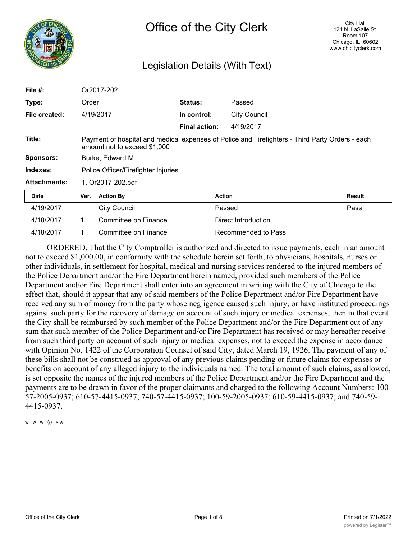

# Legislation Details (With Text)

| File $#$ :          | Or2017-202                                                                                                                      |                      |                      |                     |               |  |  |
|---------------------|---------------------------------------------------------------------------------------------------------------------------------|----------------------|----------------------|---------------------|---------------|--|--|
| Type:               | Order                                                                                                                           |                      | Status:              | Passed              |               |  |  |
| File created:       | 4/19/2017                                                                                                                       |                      | In control:          | <b>City Council</b> |               |  |  |
|                     |                                                                                                                                 |                      | <b>Final action:</b> | 4/19/2017           |               |  |  |
| Title:              | Payment of hospital and medical expenses of Police and Firefighters - Third Party Orders - each<br>amount not to exceed \$1,000 |                      |                      |                     |               |  |  |
| <b>Sponsors:</b>    | Burke, Edward M.                                                                                                                |                      |                      |                     |               |  |  |
| Indexes:            | Police Officer/Firefighter Injuries                                                                                             |                      |                      |                     |               |  |  |
| <b>Attachments:</b> | 1. Or2017-202.pdf                                                                                                               |                      |                      |                     |               |  |  |
| <b>Date</b>         | Ver.                                                                                                                            | <b>Action By</b>     |                      | <b>Action</b>       | <b>Result</b> |  |  |
| 4/19/2017           |                                                                                                                                 | <b>City Council</b>  |                      | Passed              | Pass          |  |  |
| 4/18/2017           | 1                                                                                                                               | Committee on Finance |                      | Direct Introduction |               |  |  |
| 4/18/2017           |                                                                                                                                 | Committee on Finance |                      | Recommended to Pass |               |  |  |

ORDERED, That the City Comptroller is authorized and directed to issue payments, each in an amount not to exceed \$1,000.00, in conformity with the schedule herein set forth, to physicians, hospitals, nurses or other individuals, in settlement for hospital, medical and nursing services rendered to the injured members of the Police Department and/or the Fire Department herein named, provided such members of the Police Department and/or Fire Department shall enter into an agreement in writing with the City of Chicago to the effect that, should it appear that any of said members of the Police Department and/or Fire Department have received any sum of money from the party whose negligence caused such injury, or have instituted proceedings against such party for the recovery of damage on account of such injury or medical expenses, then in that event the City shall be reimbursed by such member of the Police Department and/or the Fire Department out of any sum that such member of the Police Department and/or Fire Department has received or may hereafter receive from such third party on account of such injury or medical expenses, not to exceed the expense in accordance with Opinion No. 1422 of the Corporation Counsel of said City, dated March 19, 1926. The payment of any of these bills shall not be construed as approval of any previous claims pending or future claims for expenses or benefits on account of any alleged injury to the individuals named. The total amount of such claims, as allowed, is set opposite the names of the injured members of the Police Department and/or the Fire Department and the payments are to be drawn in favor of the proper claimants and charged to the following Account Numbers: 100- 57-2005-0937; 610-57-4415-0937; 740-57-4415-0937; 100-59-2005-0937; 610-59-4415-0937; and 740-59- 4415-0937.

w w w (/) « w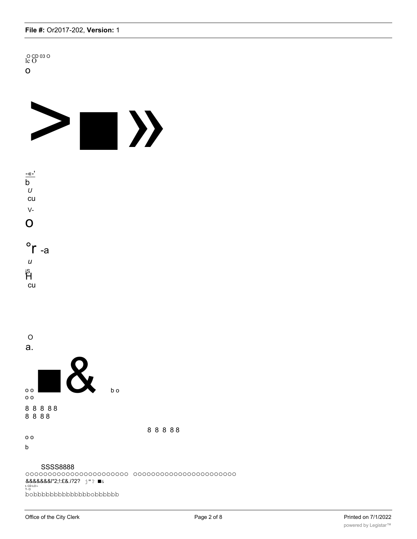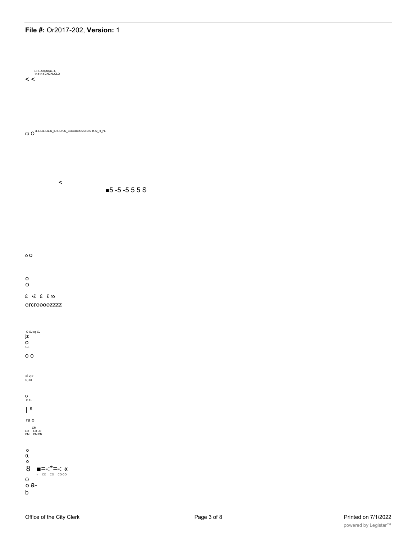i-i-T--fO)Oiinin--T-<br>t-t-t-t-t-t-CNCNLOLO

 $\lt$ 

ra O QUILLQ-ILQ-Q\_ILI1-ILI\*LQ\_CQCQC0CQQ-Q.Q.I1-Q\_I1\_I\*L

 $\,<$  $\blacksquare$ 5 -5 -5 5 5 S

 $\circ$  O

#### $\mathsf{o}$

## $\circ$

## £ +£ £ £ ro

orcroooozzzz

jz<br>jz  $\mathop{\mathsf{O}}_{\scriptscriptstyle{1\cdot\mathsf{U}}}$  $\circ$  $\begin{array}{c}\n\text{ai } \text{o} > \\
\text{o)} \text{o} \text{l}\n\end{array}$ 0<br>C T- $\mathsf{I}^{\mathsf{s}}$ ra o CM<br>LO LOLO<br>CM CM CM  $\begin{matrix} 0 \\ 0 \end{matrix}$  $\circ$  $\,8\,$  $\blacksquare = \cdot \cdot \cdot = \cdot$  (  $\circ$ 

Office of the City Clerk

o a- $\mathsf b$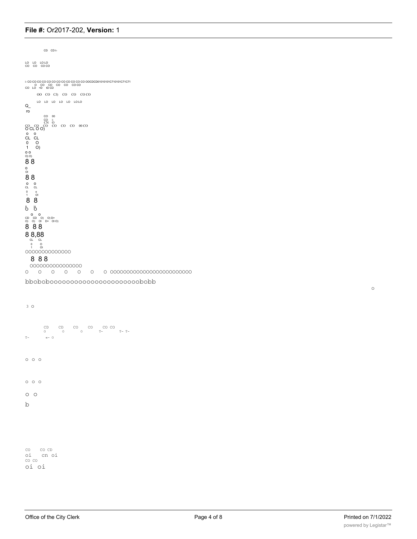$CD$   $CD$   $t$ CO CO COCO 00 CO CJ) CO CO CO CO CO LO LO LO LO LO LOLO  $Q_{\_}$  $\sigma_{\text{max}}$ <br>  $\sigma_{\text{max}}$ <br>  $\sigma_{\text{max}}$ <br>  $\sigma_{\text{max}}$ <br>  $\sigma_{\text{max}}$ <br>  $\sigma_{\text{max}}$ <br>  $\sigma_{\text{max}}$ <br>  $\sigma_{\text{max}}$ <br>  $\sigma_{\text{max}}$ <br>  $\sigma_{\text{max}}$ <br>  $\sigma_{\text{max}}$ <br>  $\sigma_{\text{max}}$ <br>  $\sigma_{\text{max}}$ <br>  $\sigma_{\text{max}}$ <br>  $\sigma_{\text{max}}$ <br>  $\sigma_{\text{max}}$  $\overline{10}$ *b* b  $\begin{array}{c|c} 0 & 0 \\ 0 & 0 \\ \text{CD} & 0 \text{)} & 0 \text{D} > \\ 0 & 0 & 0 \text{ } \text{D} > 0 \text{ } 0 \text{)} \end{array}$ 888 88,88 0000000000000 888 000000000000000 

ddodoooooooooooooooooododdd

 $3^{\circ}$ CD CD CO CO CO CO  $T - T$  -  $T - T$  - $\ll -$  0  $T 0 0 0$  $\circ\hspace{0.1cm} \circ\hspace{0.1cm}\circ\hspace{0.1cm} \circ$  $O$   $O$  $\mathbf b$ 

co coco<br>oi cnoi<br>coco oi oi

 $\circ$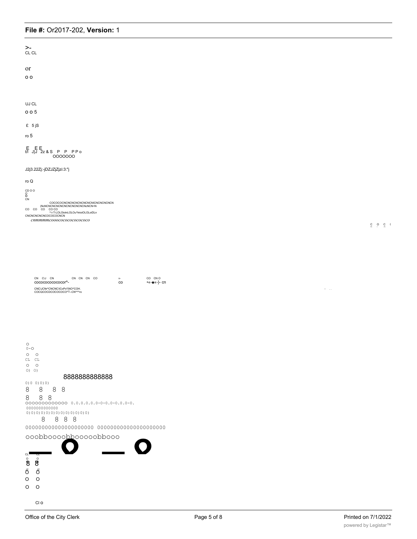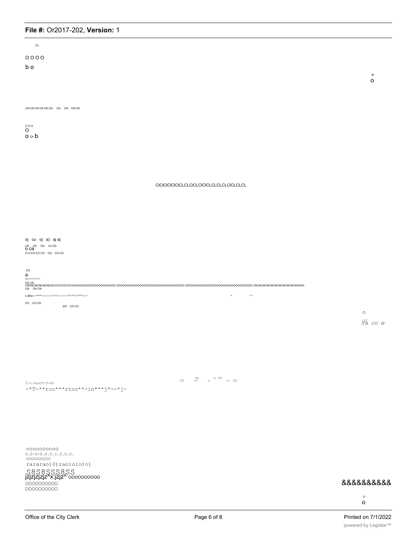| O                                                                                                                                                                                         |            |                         |  |
|-------------------------------------------------------------------------------------------------------------------------------------------------------------------------------------------|------------|-------------------------|--|
| 0000                                                                                                                                                                                      |            |                         |  |
| b o                                                                                                                                                                                       |            |                         |  |
|                                                                                                                                                                                           |            | $\circ$<br>$\mathsf{o}$ |  |
|                                                                                                                                                                                           |            |                         |  |
|                                                                                                                                                                                           |            |                         |  |
| CN CN CN CN CN CN CN CN CN CN CN                                                                                                                                                          |            |                         |  |
| $^\mathrm{000}_\mathrm{O}$                                                                                                                                                                |            |                         |  |
| $o \ge b$                                                                                                                                                                                 |            |                         |  |
|                                                                                                                                                                                           |            |                         |  |
|                                                                                                                                                                                           |            |                         |  |
|                                                                                                                                                                                           |            |                         |  |
|                                                                                                                                                                                           |            |                         |  |
|                                                                                                                                                                                           |            |                         |  |
|                                                                                                                                                                                           |            |                         |  |
|                                                                                                                                                                                           |            |                         |  |
|                                                                                                                                                                                           |            |                         |  |
| oj cu oj a) ajaj                                                                                                                                                                          |            |                         |  |
| $\frac{CD}{OCa}$ $\frac{CD}{C}$ $\frac{CD}{OCb}$                                                                                                                                          |            |                         |  |
| 00000000000000                                                                                                                                                                            |            |                         |  |
| $_{\rm CO}$                                                                                                                                                                               |            |                         |  |
| a<br>$03 - T - T - T - T - T - T -$                                                                                                                                                       |            |                         |  |
|                                                                                                                                                                                           |            |                         |  |
| LOlfiin --*****---------*-***---------- <sup>---</sup> --*-- <sup>---</sup> --*- <sup>---</sup> -----<br>$\begin{array}{ccc} \mathbf{A} & \mathbf{A} & \mathbf{A} \end{array}$<br>CO COCO |            |                         |  |
| GO COCO                                                                                                                                                                                   | $\circ$    |                         |  |
|                                                                                                                                                                                           | $2Ja$ co c |                         |  |
|                                                                                                                                                                                           |            |                         |  |
|                                                                                                                                                                                           |            |                         |  |
|                                                                                                                                                                                           |            |                         |  |
|                                                                                                                                                                                           |            |                         |  |

 $0^n n.$ OusCO $^n$ -OO  $-$ \*T-\*\*rco\*\*\*rtoo\*\*-in\*\*\*j\*--\*j-

rararao) 0) rao) oio) o)

# 8888888888

 $\circ$  $\mathsf{o}$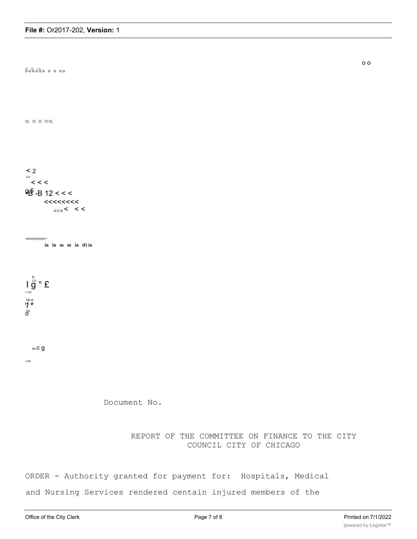

ORDER - Authority granted for payment for: Hospitals, Medical

and Nursing Services rendered centain injured members of the